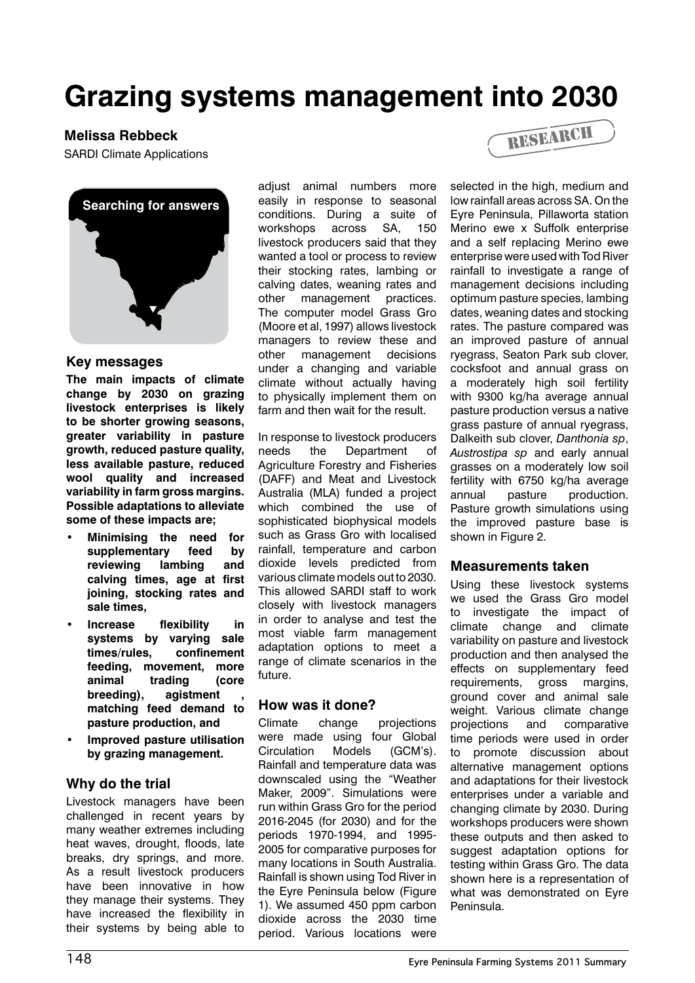# **Grazing systems management into 2030**

**Melissa Rebbeck** 



#### **Key messages**

**The main impacts of climate change by 2030 on grazing livestock enterprises is likely to be shorter growing seasons, greater variability in pasture growth, reduced pasture quality, less available pasture, reduced wool quality and increased variability in farm gross margins. Possible adaptations to alleviate some of these impacts are;**

- **• Minimising the need for supplementary feed by**  reviewing lambing **calving times, age at first joining, stocking rates and sale times,**
- **• Increase flexibility in systems by varying sale times/rules, confinement feeding, movement, more animal trading (core**  breeding), agistment **matching feed demand to pasture production, and**
- **• Improved pasture utilisation by grazing management.**

## **Why do the trial**

Livestock managers have been challenged in recent years by many weather extremes including heat waves, drought, floods, late breaks, dry springs, and more. As a result livestock producers have been innovative in how they manage their systems. They have increased the flexibility in their systems by being able to

adjust animal numbers more easily in response to seasonal conditions. During a suite of workshops across SA, 150 livestock producers said that they wanted a tool or process to review their stocking rates, lambing or calving dates, weaning rates and other management practices. The computer model Grass Gro (Moore et al, 1997) allows livestock managers to review these and other management decisions under a changing and variable climate without actually having to physically implement them on farm and then wait for the result.

In response to livestock producers needs the Department of Agriculture Forestry and Fisheries (DAFF) and Meat and Livestock Australia (MLA) funded a project which combined the use of sophisticated biophysical models such as Grass Gro with localised rainfall, temperature and carbon dioxide levels predicted from various climate models out to 2030. This allowed SARDI staff to work closely with livestock managers in order to analyse and test the most viable farm management adaptation options to meet a range of climate scenarios in the future.

## **How was it done?**

Climate change projections were made using four Global Circulation Models (GCM's). Rainfall and temperature data was downscaled using the "Weather Maker, 2009". Simulations were run within Grass Gro for the period 2016-2045 (for 2030) and for the periods 1970-1994, and 1995- 2005 for comparative purposes for many locations in South Australia. Rainfall is shown using Tod River in the Eyre Peninsula below (Figure 1). We assumed 450 ppm carbon dioxide across the 2030 time period. Various locations were



selected in the high, medium and low rainfall areas across SA. On the Eyre Peninsula, Pillaworta station Merino ewe x Suffolk enterprise and a self replacing Merino ewe enterprise were used with Tod River rainfall to investigate a range of management decisions including optimum pasture species, lambing dates, weaning dates and stocking rates. The pasture compared was an improved pasture of annual ryegrass, Seaton Park sub clover, cocksfoot and annual grass on a moderately high soil fertility with 9300 kg/ha average annual pasture production versus a native grass pasture of annual ryegrass, Dalkeith sub clover, *Danthonia sp*, *Austrostipa sp* and early annual grasses on a moderately low soil fertility with 6750 kg/ha average annual pasture production. Pasture growth simulations using the improved pasture base is shown in Figure 2.

#### **Measurements taken**

Using these livestock systems we used the Grass Gro model to investigate the impact of climate change and climate variability on pasture and livestock production and then analysed the effects on supplementary feed requirements, gross margins, ground cover and animal sale weight. Various climate change projections and comparative time periods were used in order to promote discussion about alternative management options and adaptations for their livestock enterprises under a variable and changing climate by 2030. During workshops producers were shown these outputs and then asked to suggest adaptation options for testing within Grass Gro. The data shown here is a representation of what was demonstrated on Eyre Peninsula.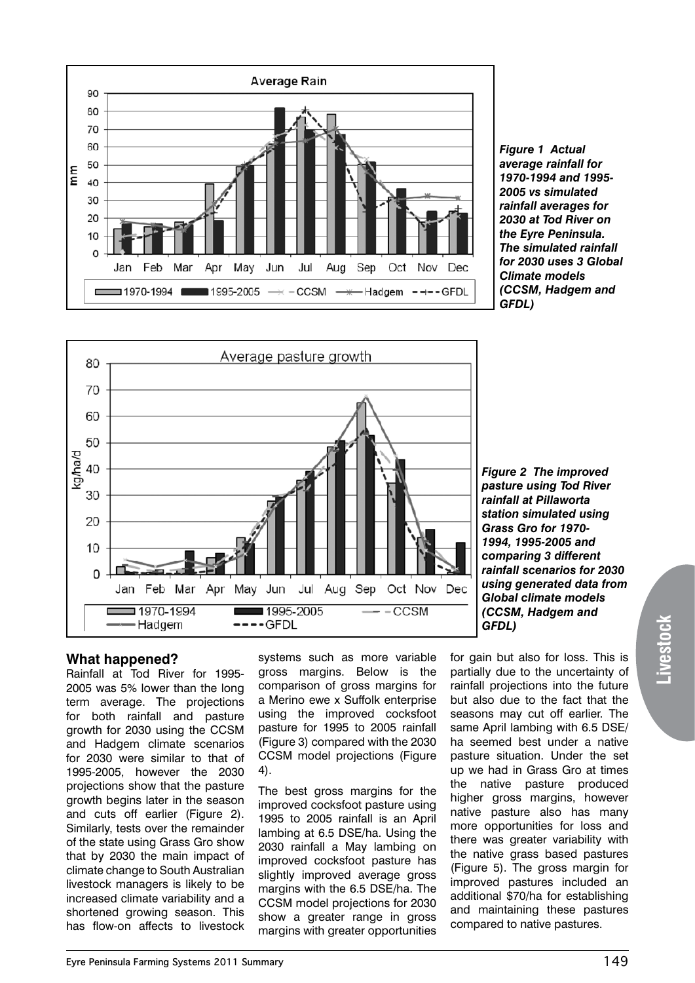

*Figure 1 Actual average rainfall for 1970-1994 and 1995- 2005 vs simulated rainfall averages for 2030 at Tod River on the Eyre Peninsula. The simulated rainfall for 2030 uses 3 Global Climate models (CCSM, Hadgem and GFDL)*



*Figure 2 The improved pasture using Tod River rainfall at Pillaworta station simulated using Grass Gro for 1970- 1994, 1995-2005 and comparing 3 different rainfall scenarios for 2030 using generated data from Global climate models (CCSM, Hadgem and GFDL)*

## **What happened?**

Rainfall at Tod River for 1995- 2005 was 5% lower than the long term average. The projections for both rainfall and pasture growth for 2030 using the CCSM and Hadgem climate scenarios for 2030 were similar to that of 1995-2005, however the 2030 projections show that the pasture growth begins later in the season and cuts off earlier (Figure 2). Similarly, tests over the remainder of the state using Grass Gro show that by 2030 the main impact of climate change to South Australian livestock managers is likely to be increased climate variability and a shortened growing season. This has flow-on affects to livestock

systems such as more variable gross margins. Below is the comparison of gross margins for a Merino ewe x Suffolk enterprise using the improved cocksfoot pasture for 1995 to 2005 rainfall (Figure 3) compared with the 2030 CCSM model projections (Figure 4).

The best gross margins for the improved cocksfoot pasture using 1995 to 2005 rainfall is an April lambing at 6.5 DSE/ha. Using the 2030 rainfall a May lambing on improved cocksfoot pasture has slightly improved average gross margins with the 6.5 DSE/ha. The CCSM model projections for 2030 show a greater range in gross margins with greater opportunities

for gain but also for loss. This is partially due to the uncertainty of rainfall projections into the future but also due to the fact that the seasons may cut off earlier. The same April lambing with 6.5 DSE/ ha seemed best under a native pasture situation. Under the set up we had in Grass Gro at times the native pasture produced higher gross margins, however native pasture also has many more opportunities for loss and there was greater variability with the native grass based pastures (Figure 5). The gross margin for improved pastures included an additional \$70/ha for establishing and maintaining these pastures compared to native pastures.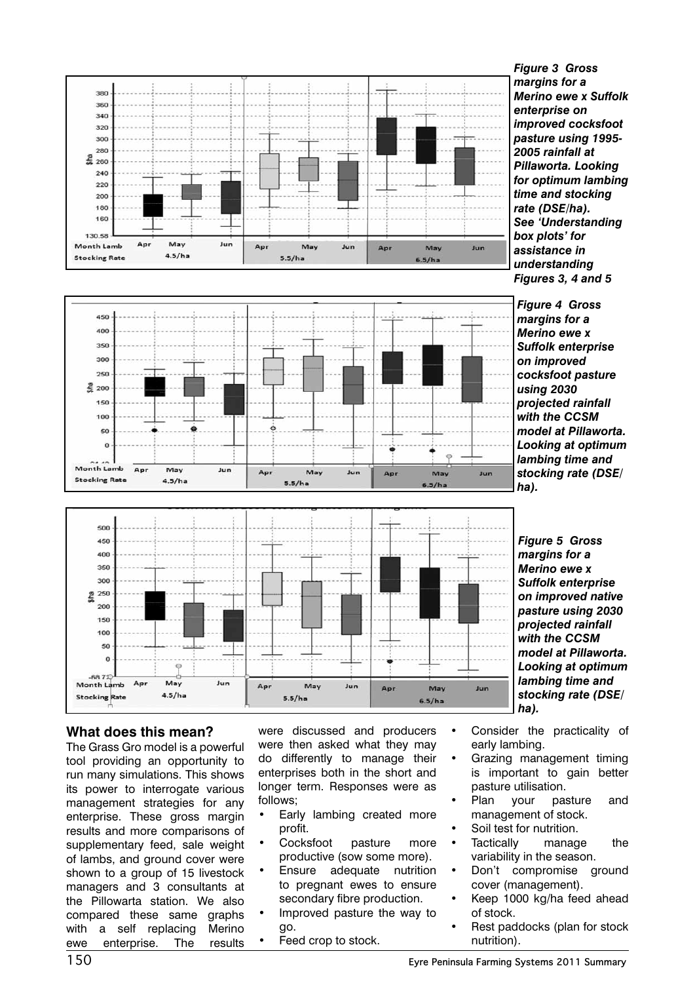



*Figure 3 Gross margins for a Merino ewe x Suffolk enterprise on improved cocksfoot pasture using 1995- 2005 rainfall at Pillaworta. Looking for optimum lambing time and stocking rate (DSE/ha). See 'Understanding box plots' for assistance in understanding Figures 3, 4 and 5*

*Figure 4 Gross margins for a Merino ewe x Suffolk enterprise on improved cocksfoot pasture using 2030 projected rainfall with the CCSM model at Pillaworta. Looking at optimum lambing time and stocking rate (DSE/ ha).* 



*Figure 5 Gross margins for a Merino ewe x Suffolk enterprise on improved native pasture using 2030 projected rainfall with the CCSM model at Pillaworta. Looking at optimum lambing time and stocking rate (DSE/ ha).* 

## **What does this mean?**

The Grass Gro model is a powerful tool providing an opportunity to run many simulations. This shows its power to interrogate various management strategies for any enterprise. These gross margin results and more comparisons of supplementary feed, sale weight of lambs, and ground cover were shown to a group of 15 livestock managers and 3 consultants at the Pillowarta station. We also compared these same graphs with a self replacing Merino ewe enterprise. The results

were discussed and producers were then asked what they may do differently to manage their enterprises both in the short and longer term. Responses were as follows;

- Early lambing created more profit.
- Cocksfoot pasture more productive (sow some more).
- Ensure adequate nutrition to pregnant ewes to ensure secondary fibre production.
- Improved pasture the way to go.
- Feed crop to stock.
- Consider the practicality of early lambing.
- Grazing management timing is important to gain better pasture utilisation.
- Plan your pasture and management of stock.
- Soil test for nutrition.
- Tactically manage the variability in the season.
- Don't compromise ground cover (management).
- Keep 1000 kg/ha feed ahead of stock.
- Rest paddocks (plan for stock nutrition).